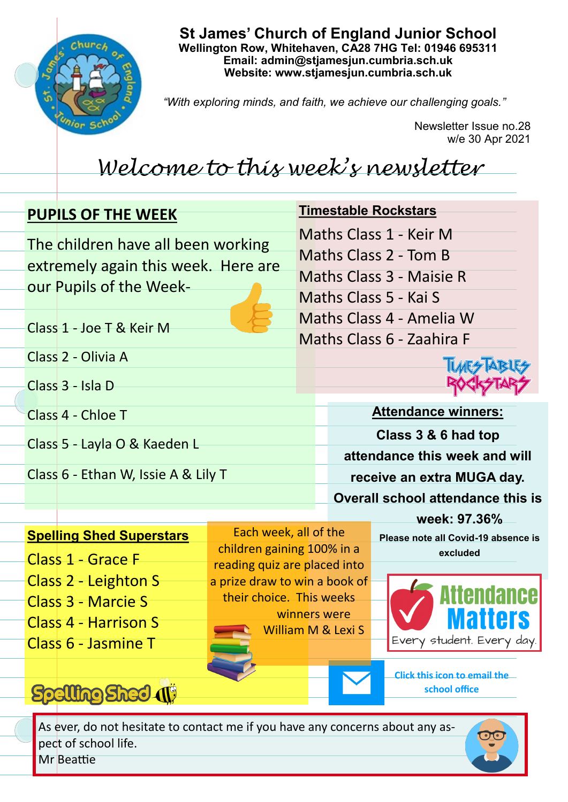

**St James' Church of England Junior School Wellington Row, Whitehaven, CA28 7HG Tel: 01946 695311 Email: admin@stjamesjun.cumbria.sch.uk Website: www.stjamesjun.cumbria.sch.uk**

*"With exploring minds, and faith, we achieve our challenging goals."*

Newsletter Issue no.28 w/e 30 Apr 2021

## *Welcome to this week's newsletter*

### **PUPILS OF THE WEEK**

Class 1 - Joe T & Keir M

Class 2 - Olivia A

Class 4 - Chloe T

Class 3 - Isla D

The children have all been working extremely again this week. Here are our Pupils of the Week**Timestable Rockstars** Maths Class 1 - Keir M Maths Class 2 - Tom B Maths Class 3 - Maisie R Maths Class 5 - Kai S Maths Class 4 - Amelia W Maths Class 6 - Zaahira F

**Attendance winners: Class 3 & 6 had top attendance this week and will receive an extra MUGA day. Overall school attendance this is** 

### **Spelling Shed Superstars**

Class 5 - Layla O & Kaeden L

Class 6 - Ethan W, Issie A & Lily T

- Class 1 Grace F Class 2 - Leighton S
- 
- Class 3 Marcie S
- Class 4 Harrison S
- Class 6 Jasmine T

# Spelling Shed (1)

Each week, all of the children gaining 100% in a reading quiz are placed into a prize draw to win a book of their choice. This weeks winners were William M & Lexi S

**week: 97.36% Please note all Covid-19 absence is excluded** 



**Click this icon to email the school office**

As ever, do not hesitate to contact me if you have any concerns about any aspect of school life. Mr Beattie